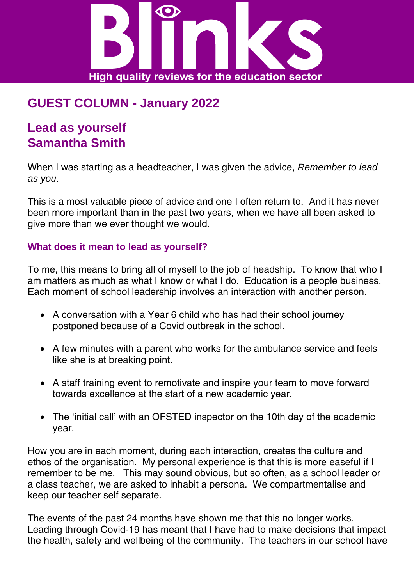

# **GUEST COLUMN - January 2022**

# **Lead as yourself Samantha Smith**

When I was starting as a headteacher, I was given the advice, *Remember to lead as you*.

This is a most valuable piece of advice and one I often return to. And it has never been more important than in the past two years, when we have all been asked to give more than we ever thought we would.

### **What does it mean to lead as yourself?**

To me, this means to bring all of myself to the job of headship. To know that who I am matters as much as what I know or what I do. Education is a people business. Each moment of school leadership involves an interaction with another person.

- A conversation with a Year 6 child who has had their school journey postponed because of a Covid outbreak in the school.
- A few minutes with a parent who works for the ambulance service and feels like she is at breaking point.
- A staff training event to remotivate and inspire your team to move forward towards excellence at the start of a new academic year.
- The 'initial call' with an OFSTED inspector on the 10th day of the academic year.

How you are in each moment, during each interaction, creates the culture and ethos of the organisation. My personal experience is that this is more easeful if I remember to be me. This may sound obvious, but so often, as a school leader or a class teacher, we are asked to inhabit a persona. We compartmentalise and keep our teacher self separate.

The events of the past 24 months have shown me that this no longer works. Leading through Covid-19 has meant that I have had to make decisions that impact the health, safety and wellbeing of the community. The teachers in our school have